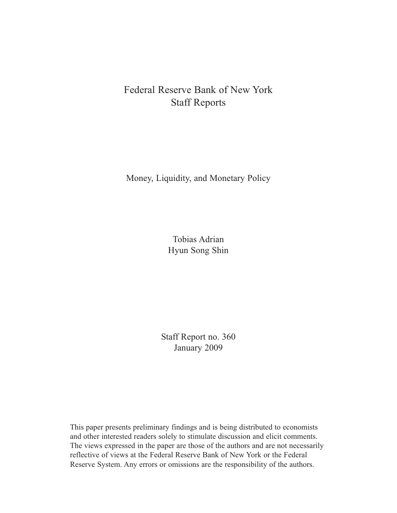# Federal Reserve Bank of New York Staff Reports

Money, Liquidity, and Monetary Policy

Tobias Adrian Hyun Song Shin

Staff Report no. 360 January 2009

This paper presents preliminary findings and is being distributed to economists and other interested readers solely to stimulate discussion and elicit comments. The views expressed in the paper are those of the authors and are not necessarily reflective of views at the Federal Reserve Bank of New York or the Federal Reserve System. Any errors or omissions are the responsibility of the authors.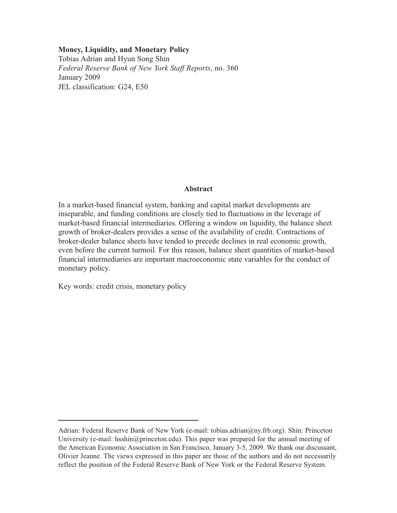#### **Money, Liquidity, and Monetary Policy**

Tobias Adrian and Hyun Song Shin *Federal Reserve Bank of New York Staff Reports*, no. 360 January 2009 JEL classification: G24, E50

#### **Abstract**

In a market-based financial system, banking and capital market developments are inseparable, and funding conditions are closely tied to fluctuations in the leverage of market-based financial intermediaries. Offering a window on liquidity, the balance sheet growth of broker-dealers provides a sense of the availability of credit. Contractions of broker-dealer balance sheets have tended to precede declines in real economic growth, even before the current turmoil. For this reason, balance sheet quantities of market-based financial intermediaries are important macroeconomic state variables for the conduct of monetary policy.

Key words: credit crisis, monetary policy

Adrian: Federal Reserve Bank of New York (e-mail: tobias.adrian@ny.frb.org). Shin: Princeton University (e-mail: hsshin@princeton.edu). This paper was prepared for the annual meeting of the American Economic Association in San Francisco, January 3-5, 2009. We thank our discussant, Olivier Jeanne. The views expressed in this paper are those of the authors and do not necessarily reflect the position of the Federal Reserve Bank of New York or the Federal Reserve System.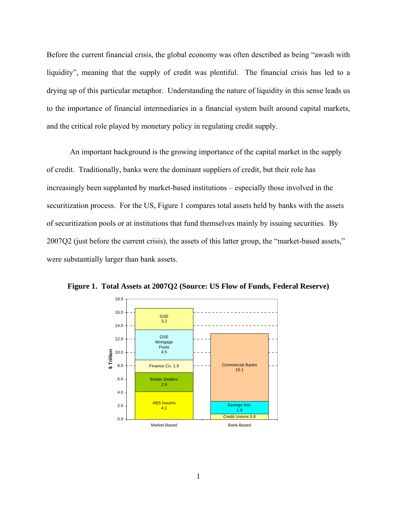Before the current financial crisis, the global economy was often described as being "awash with liquidity", meaning that the supply of credit was plentiful. The financial crisis has led to a drying up of this particular metaphor. Understanding the nature of liquidity in this sense leads us to the importance of financial intermediaries in a financial system built around capital markets, and the critical role played by monetary policy in regulating credit supply.

An important background is the growing importance of the capital market in the supply of credit. Traditionally, banks were the dominant suppliers of credit, but their role has increasingly been supplanted by market-based institutions – especially those involved in the securitization process. For the US, Figure 1 compares total assets held by banks with the assets of securitization pools or at institutions that fund themselves mainly by issuing securities. By 2007Q2 (just before the current crisis), the assets of this latter group, the "market-based assets," were substantially larger than bank assets.



**Figure 1. Total Assets at 2007Q2 (Source: US Flow of Funds, Federal Reserve)**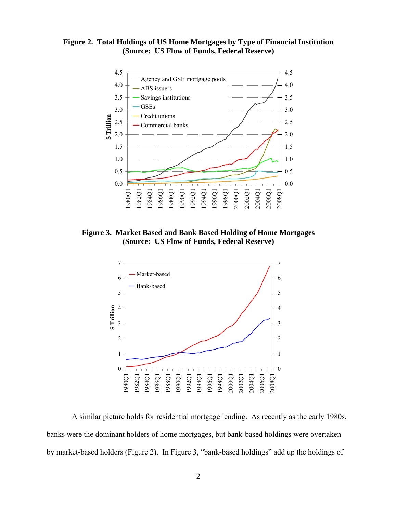**Figure 2. Total Holdings of US Home Mortgages by Type of Financial Institution (Source: US Flow of Funds, Federal Reserve)** 



**Figure 3. Market Based and Bank Based Holding of Home Mortgages (Source: US Flow of Funds, Federal Reserve)** 



 A similar picture holds for residential mortgage lending. As recently as the early 1980s, banks were the dominant holders of home mortgages, but bank-based holdings were overtaken by market-based holders (Figure 2). In Figure 3, "bank-based holdings" add up the holdings of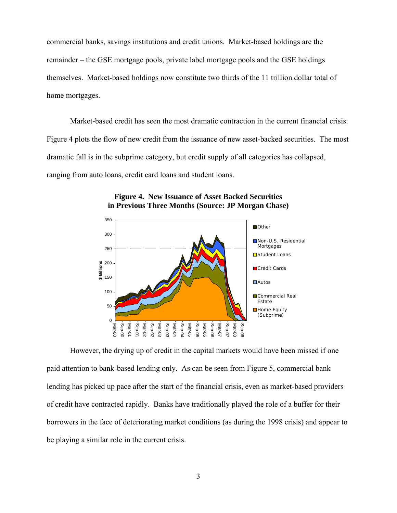commercial banks, savings institutions and credit unions. Market-based holdings are the remainder – the GSE mortgage pools, private label mortgage pools and the GSE holdings themselves. Market-based holdings now constitute two thirds of the 11 trillion dollar total of home mortgages.

Market-based credit has seen the most dramatic contraction in the current financial crisis. Figure 4 plots the flow of new credit from the issuance of new asset-backed securities. The most dramatic fall is in the subprime category, but credit supply of all categories has collapsed, ranging from auto loans, credit card loans and student loans.



#### **Figure 4. New Issuance of Asset Backed Securities in Previous Three Months (Source: JP Morgan Chase)**

However, the drying up of credit in the capital markets would have been missed if one paid attention to bank-based lending only. As can be seen from Figure 5, commercial bank lending has picked up pace after the start of the financial crisis, even as market-based providers of credit have contracted rapidly. Banks have traditionally played the role of a buffer for their borrowers in the face of deteriorating market conditions (as during the 1998 crisis) and appear to be playing a similar role in the current crisis.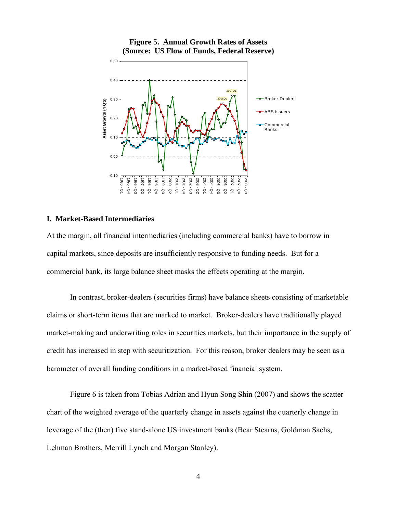

## **Figure 5. Annual Growth Rates of Assets (Source: US Flow of Funds, Federal Reserve)**

### **I. Market-Based Intermediaries**

At the margin, all financial intermediaries (including commercial banks) have to borrow in capital markets, since deposits are insufficiently responsive to funding needs. But for a commercial bank, its large balance sheet masks the effects operating at the margin.

In contrast, broker-dealers (securities firms) have balance sheets consisting of marketable claims or short-term items that are marked to market. Broker-dealers have traditionally played market-making and underwriting roles in securities markets, but their importance in the supply of credit has increased in step with securitization. For this reason, broker dealers may be seen as a barometer of overall funding conditions in a market-based financial system.

Figure 6 is taken from Tobias Adrian and Hyun Song Shin (2007) and shows the scatter chart of the weighted average of the quarterly change in assets against the quarterly change in leverage of the (then) five stand-alone US investment banks (Bear Stearns, Goldman Sachs, Lehman Brothers, Merrill Lynch and Morgan Stanley).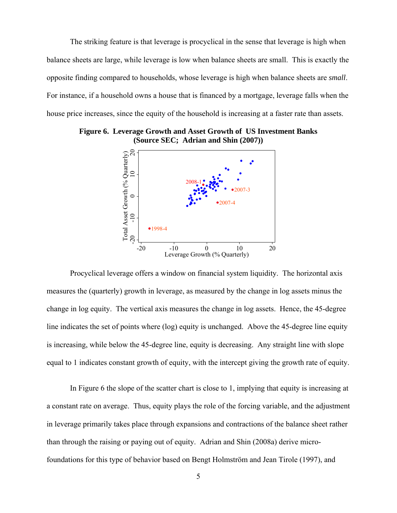The striking feature is that leverage is procyclical in the sense that leverage is high when balance sheets are large, while leverage is low when balance sheets are small. This is exactly the opposite finding compared to households, whose leverage is high when balance sheets are *small*. For instance, if a household owns a house that is financed by a mortgage, leverage falls when the house price increases, since the equity of the household is increasing at a faster rate than assets.



**Figure 6. Leverage Growth and Asset Growth of US Investment Banks (Source SEC; Adrian and Shin (2007))** 

Procyclical leverage offers a window on financial system liquidity. The horizontal axis measures the (quarterly) growth in leverage, as measured by the change in log assets minus the change in log equity. The vertical axis measures the change in log assets. Hence, the 45-degree line indicates the set of points where (log) equity is unchanged. Above the 45-degree line equity is increasing, while below the 45-degree line, equity is decreasing. Any straight line with slope equal to 1 indicates constant growth of equity, with the intercept giving the growth rate of equity.

In Figure 6 the slope of the scatter chart is close to 1, implying that equity is increasing at a constant rate on average. Thus, equity plays the role of the forcing variable, and the adjustment in leverage primarily takes place through expansions and contractions of the balance sheet rather than through the raising or paying out of equity. Adrian and Shin (2008a) derive microfoundations for this type of behavior based on Bengt Holmström and Jean Tirole (1997), and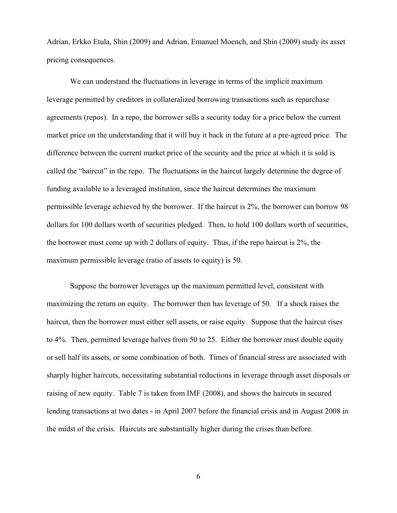Adrian, Erkko Etula, Shin (2009) and Adrian, Emanuel Moench, and Shin (2009) study its asset pricing consequences.

We can understand the fluctuations in leverage in terms of the implicit maximum leverage permitted by creditors in collateralized borrowing transactions such as repurchase agreements (repos). In a repo, the borrower sells a security today for a price below the current market price on the understanding that it will buy it back in the future at a pre-agreed price. The difference between the current market price of the security and the price at which it is sold is called the "haircut" in the repo. The fluctuations in the haircut largely determine the degree of funding available to a leveraged institution, since the haircut determines the maximum permissible leverage achieved by the borrower. If the haircut is 2%, the borrower can borrow 98 dollars for 100 dollars worth of securities pledged. Then, to hold 100 dollars worth of securities, the borrower must come up with 2 dollars of equity. Thus, if the repo haircut is 2%, the maximum permissible leverage (ratio of assets to equity) is 50.

Suppose the borrower leverages up the maximum permitted level, consistent with maximizing the return on equity. The borrower then has leverage of 50. If a shock raises the haircut, then the borrower must either sell assets, or raise equity. Suppose that the haircut rises to 4%. Then, permitted leverage halves from 50 to 25. Either the borrower must double equity or sell half its assets, or some combination of both. Times of financial stress are associated with sharply higher haircuts, necessitating substantial reductions in leverage through asset disposals or raising of new equity. Table 7 is taken from IMF (2008), and shows the haircuts in secured lending transactions at two dates - in April 2007 before the financial crisis and in August 2008 in the midst of the crisis. Haircuts are substantially higher during the crises than before.

6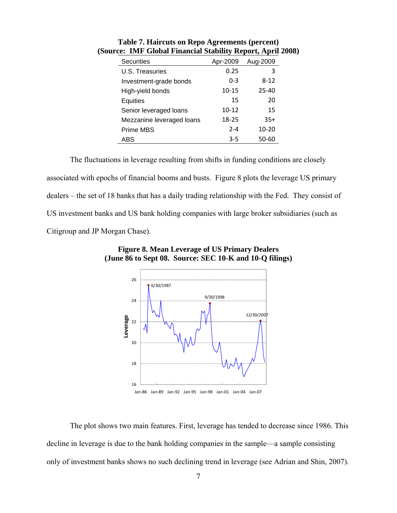| <b>Securities</b>         | Apr-2009  | Aug-2009  |
|---------------------------|-----------|-----------|
| U.S. Treasuries           | 0.25      | 3         |
| Investment-grade bonds    | $0 - 3$   | $8 - 12$  |
| High-yield bonds          | $10 - 15$ | 25-40     |
| Equities                  | 15        | 20        |
| Senior leveraged loans    | $10 - 12$ | 15        |
| Mezzanine leveraged loans | 18-25     | $35+$     |
| Prime MBS                 | $2 - 4$   | $10 - 20$ |
| ABS                       | $3 - 5$   | 50-60     |

**Table 7. Haircuts on Repo Agreements (percent) (Source: IMF Global Financial Stability Report, April 2008)** 

The fluctuations in leverage resulting from shifts in funding conditions are closely associated with epochs of financial booms and busts. Figure 8 plots the leverage US primary dealers – the set of 18 banks that has a daily trading relationship with the Fed. They consist of US investment banks and US bank holding companies with large broker subsidiaries (such as Citigroup and JP Morgan Chase).



**Figure 8. Mean Leverage of US Primary Dealers (June 86 to Sept 08. Source: SEC 10-K and 10-Q filings)** 

The plot shows two main features. First, leverage has tended to decrease since 1986. This decline in leverage is due to the bank holding companies in the sample—a sample consisting only of investment banks shows no such declining trend in leverage (see Adrian and Shin, 2007).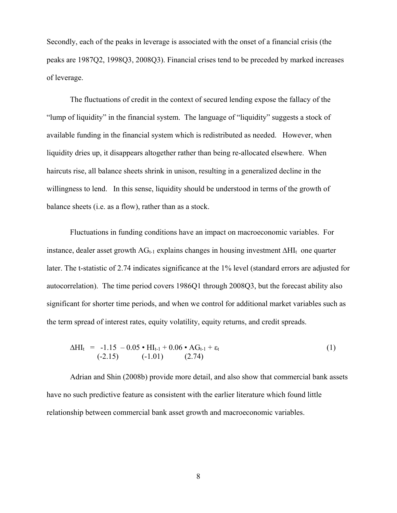Secondly, each of the peaks in leverage is associated with the onset of a financial crisis (the peaks are 1987Q2, 1998Q3, 2008Q3). Financial crises tend to be preceded by marked increases of leverage.

The fluctuations of credit in the context of secured lending expose the fallacy of the "lump of liquidity" in the financial system. The language of "liquidity" suggests a stock of available funding in the financial system which is redistributed as needed. However, when liquidity dries up, it disappears altogether rather than being re-allocated elsewhere. When haircuts rise, all balance sheets shrink in unison, resulting in a generalized decline in the willingness to lend. In this sense, liquidity should be understood in terms of the growth of balance sheets (i.e. as a flow), rather than as a stock.

Fluctuations in funding conditions have an impact on macroeconomic variables. For instance, dealer asset growth  $AG_{t-1}$  explains changes in housing investment  $\Delta HI_t$  one quarter later. The t-statistic of 2.74 indicates significance at the 1% level (standard errors are adjusted for autocorrelation). The time period covers 1986Q1 through 2008Q3, but the forecast ability also significant for shorter time periods, and when we control for additional market variables such as the term spread of interest rates, equity volatility, equity returns, and credit spreads.

$$
\Delta HI_t = -1.15 - 0.05 \cdot HI_{t-1} + 0.06 \cdot AG_{t-1} + \varepsilon_t
$$
  
(-2.15) (-1.01) (2.74)

Adrian and Shin (2008b) provide more detail, and also show that commercial bank assets have no such predictive feature as consistent with the earlier literature which found little relationship between commercial bank asset growth and macroeconomic variables.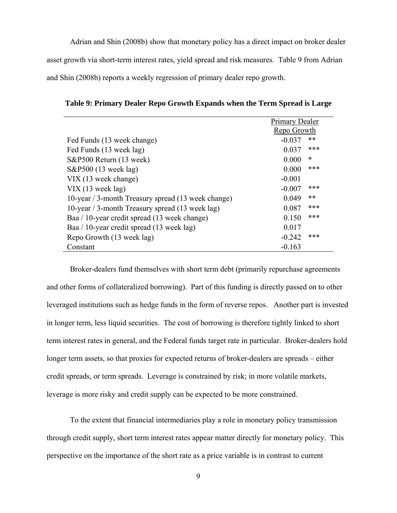Adrian and Shin (2008b) show that monetary policy has a direct impact on broker dealer asset growth via short-term interest rates, yield spread and risk measures. Table 9 from Adrian and Shin (2008b) reports a weekly regression of primary dealer repo growth.

|                                                    | Primary Dealer |        |
|----------------------------------------------------|----------------|--------|
|                                                    | Repo Growth    |        |
| Fed Funds (13 week change)                         | $-0.037$       | **     |
| Fed Funds (13 week lag)                            | 0.037          | ***    |
| S&P500 Return (13 week)                            | 0.000          | $\ast$ |
| S&P500 (13 week lag)                               | 0.000          | ***    |
| VIX (13 week change)                               | $-0.001$       |        |
| $VIX$ (13 week lag)                                | $-0.007$       | ***    |
| 10-year / 3-month Treasury spread (13 week change) | 0.049          | $***$  |
| 10-year / 3-month Treasury spread (13 week lag)    | 0.087          | ***    |
| Baa / 10-year credit spread (13 week change)       | 0.150          | ***    |
| Baa / 10-year credit spread (13 week lag)          | 0.017          |        |
| Repo Growth (13 week lag)                          | $-0.242$       | ***    |
| Constant                                           | $-0.163$       |        |

**Table 9: Primary Dealer Repo Growth Expands when the Term Spread is Large** 

Broker-dealers fund themselves with short term debt (primarily repurchase agreements and other forms of collateralized borrowing). Part of this funding is directly passed on to other leveraged institutions such as hedge funds in the form of reverse repos. Another part is invested in longer term, less liquid securities. The cost of borrowing is therefore tightly linked to short term interest rates in general, and the Federal funds target rate in particular. Broker-dealers hold longer term assets, so that proxies for expected returns of broker-dealers are spreads – either credit spreads, or term spreads. Leverage is constrained by risk; in more volatile markets, leverage is more risky and credit supply can be expected to be more constrained.

To the extent that financial intermediaries play a role in monetary policy transmission through credit supply, short term interest rates appear matter directly for monetary policy. This perspective on the importance of the short rate as a price variable is in contrast to current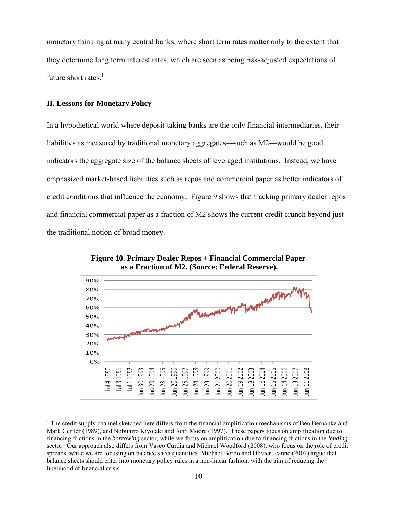monetary thinking at many central banks, where short term rates matter only to the extent that they determine long term interest rates, which are seen as being risk-adjusted expectations of future short rates. $<sup>1</sup>$ </sup>

## **II. Lessons for Monetary Policy**

1

In a hypothetical world where deposit-taking banks are the only financial intermediaries, their liabilities as measured by traditional monetary aggregates—such as M2—would be good indicators the aggregate size of the balance sheets of leveraged institutions. Instead, we have emphasized market-based liabilities such as repos and commercial paper as better indicators of credit conditions that influence the economy. Figure 9 shows that tracking primary dealer repos and financial commercial paper as a fraction of M2 shows the current credit crunch beyond just the traditional notion of broad money.



**Figure 10. Primary Dealer Repos + Financial Commercial Paper as a Fraction of M2. (Source: Federal Reserve).** 

<sup>&</sup>lt;sup>1</sup> The credit supply channel sketched here differs from the financial amplification mechanisms of Ben Bernanke and Mark Gertler (1989), and Nobuhiro Kiyotaki and John Moore (1997). These papers focus on amplification due to financing frictions in the *borrowing* sector, while we focus on amplification due to financing frictions in the *lending* sector. Our approach also differs from Vasco Curdia and Michael Woodford (2008), who focus on the role of credit spreads, while we are focusing on balance sheet quantities. Michael Bordo and Olivier Jeanne (2002) argue that balance sheets should enter into monetary policy rules in a non-linear fashion, with the aim of reducing the likelihood of financial crisis.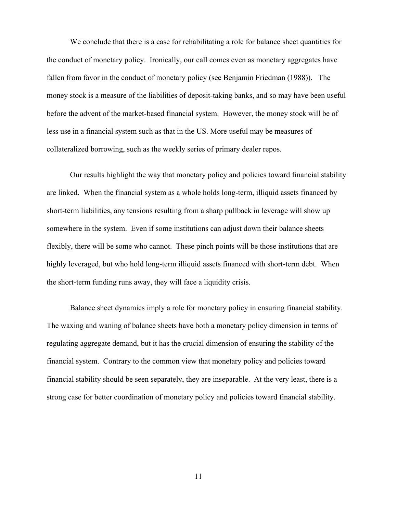We conclude that there is a case for rehabilitating a role for balance sheet quantities for the conduct of monetary policy. Ironically, our call comes even as monetary aggregates have fallen from favor in the conduct of monetary policy (see Benjamin Friedman (1988)). The money stock is a measure of the liabilities of deposit-taking banks, and so may have been useful before the advent of the market-based financial system. However, the money stock will be of less use in a financial system such as that in the US. More useful may be measures of collateralized borrowing, such as the weekly series of primary dealer repos.

Our results highlight the way that monetary policy and policies toward financial stability are linked. When the financial system as a whole holds long-term, illiquid assets financed by short-term liabilities, any tensions resulting from a sharp pullback in leverage will show up somewhere in the system. Even if some institutions can adjust down their balance sheets flexibly, there will be some who cannot. These pinch points will be those institutions that are highly leveraged, but who hold long-term illiquid assets financed with short-term debt. When the short-term funding runs away, they will face a liquidity crisis.

Balance sheet dynamics imply a role for monetary policy in ensuring financial stability. The waxing and waning of balance sheets have both a monetary policy dimension in terms of regulating aggregate demand, but it has the crucial dimension of ensuring the stability of the financial system. Contrary to the common view that monetary policy and policies toward financial stability should be seen separately, they are inseparable. At the very least, there is a strong case for better coordination of monetary policy and policies toward financial stability.

11